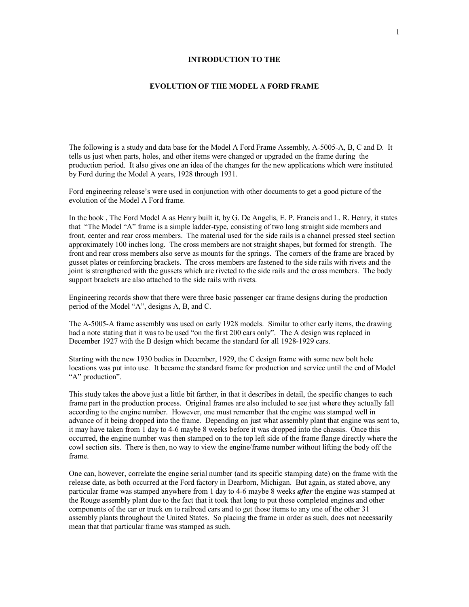## **INTRODUCTION TO THE**

## **EVOLUTION OF THE MODEL A FORD FRAME**

The following is a study and data base for the Model A Ford Frame Assembly, A-5005-A, B, C and D. It tells us just when parts, holes, and other items were changed or upgraded on the frame during the production period. It also gives one an idea of the changes for the new applications which were instituted by Ford during the Model A years, 1928 through 1931.

Ford engineering release's were used in conjunction with other documents to get a good picture of the evolution of the Model A Ford frame.

In the book , The Ford Model A as Henry built it, by G. De Angelis, E. P. Francis and L. R. Henry, it states that "The Model "A" frame is a simple ladder-type, consisting of two long straight side members and front, center and rear cross members. The material used for the side rails is a channel pressed steel section approximately 100 inches long. The cross members are not straight shapes, but formed for strength. The front and rear cross members also serve as mounts for the springs. The corners of the frame are braced by gusset plates or reinforcing brackets. The cross members are fastened to the side rails with rivets and the joint is strengthened with the gussets which are riveted to the side rails and the cross members. The body support brackets are also attached to the side rails with rivets.

Engineering records show that there were three basic passenger car frame designs during the production period of the Model "A", designs A, B, and C.

The A-5005-A frame assembly was used on early 1928 models. Similar to other early items, the drawing had a note stating that it was to be used "on the first 200 cars only". The A design was replaced in December 1927 with the B design which became the standard for all 1928-1929 cars.

Starting with the new 1930 bodies in December, 1929, the C design frame with some new bolt hole locations was put into use. It became the standard frame for production and service until the end of Model "A" production".

This study takes the above just a little bit farther, in that it describes in detail, the specific changes to each frame part in the production process. Original frames are also included to see just where they actually fall according to the engine number. However, one must remember that the engine was stamped well in advance of it being dropped into the frame. Depending on just what assembly plant that engine was sent to, it may have taken from 1 day to 4-6 maybe 8 weeks before it was dropped into the chassis. Once this occurred, the engine number was then stamped on to the top left side of the frame flange directly where the cowl section sits. There is then, no way to view the engine/frame number without lifting the body off the frame.

One can, however, correlate the engine serial number (and its specific stamping date) on the frame with the release date, as both occurred at the Ford factory in Dearborn, Michigan. But again, as stated above, any particular frame was stamped anywhere from 1 day to 4-6 maybe 8 weeks *after* the engine was stamped at the Rouge assembly plant due to the fact that it took that long to put those completed engines and other components of the car or truck on to railroad cars and to get those items to any one of the other 31 assembly plants throughout the United States. So placing the frame in order as such, does not necessarily mean that that particular frame was stamped as such.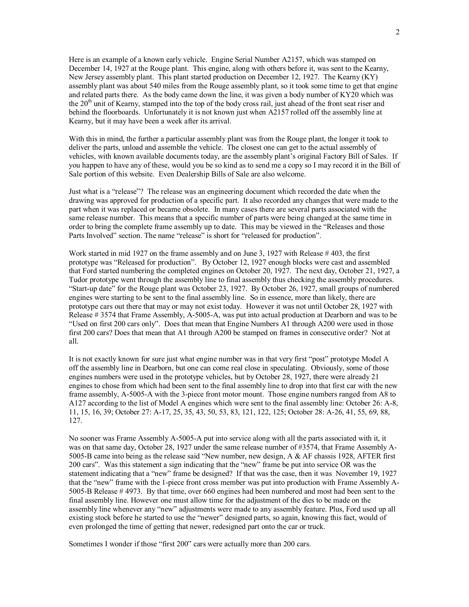Here is an example of a known early vehicle. Engine Serial Number A2157, which was stamped on December 14, 1927 at the Rouge plant. This engine, along with others before it, was sent to the Kearny, New Jersey assembly plant. This plant started production on December 12, 1927. The Kearny (KY) assembly plant was about 540 miles from the Rouge assembly plant, so it took some time to get that engine and related parts there. As the body came down the line, it was given a body number of KY20 which was the 20<sup>th</sup> unit of Kearny, stamped into the top of the body cross rail, just ahead of the front seat riser and behind the floorboards. Unfortunately it is not known just when A2157 rolled off the assembly line at Kearny, but it may have been a week after its arrival.

With this in mind, the further a particular assembly plant was from the Rouge plant, the longer it took to deliver the parts, unload and assemble the vehicle. The closest one can get to the actual assembly of vehicles, with known available documents today, are the assembly plant's original Factory Bill of Sales. If you happen to have any of these, would you be so kind as to send me a copy so I may record it in the Bill of Sale portion of this website. Even Dealership Bills of Sale are also welcome.

Just what is a "release"? The release was an engineering document which recorded the date when the drawing was approved for production of a specific part. It also recorded any changes that were made to the part when it was replaced or became obsolete. In many cases there are several parts associated with the same release number. This means that a specific number of parts were being changed at the same time in order to bring the complete frame assembly up to date. This may be viewed in the "Releases and those Parts Involved" section. The name "release" is short for "released for production".

Work started in mid 1927 on the frame assembly and on June 3, 1927 with Release # 403, the first prototype was "Released for production". By October 12, 1927 enough blocks were cast and assembled that Ford started numbering the completed engines on October 20, 1927. The next day, October 21, 1927, a Tudor prototype went through the assembly line to final assembly thus checking the assembly procedures. "Start-up date" for the Rouge plant was October 23, 1927. By October 26, 1927, small groups of numbered engines were starting to be sent to the final assembly line. So in essence, more than likely, there are prototype cars out there that may or may not exist today. However it was not until October 28, 1927 with Release # 3574 that Frame Assembly, A-5005-A, was put into actual production at Dearborn and was to be "Used on first 200 cars only". Does that mean that Engine Numbers A1 through A200 were used in those first 200 cars? Does that mean that A1 through A200 be stamped on frames in consecutive order? Not at all.

It is not exactly known for sure just what engine number was in that very first "post" prototype Model A off the assembly line in Dearborn, but one can come real close in speculating. Obviously, some of those engines numbers were used in the prototype vehicles, but by October 28, 1927, there were already 21 engines to chose from which had been sent to the final assembly line to drop into that first car with the new frame assembly, A-5005-A with the 3-piece front motor mount. Those engine numbers ranged from A8 to A127 according to the list of Model A engines which were sent to the final assembly line: October 26: A-8, 11, 15, 16, 39; October 27: A-17, 25, 35, 43, 50, 53, 83, 121, 122, 125; October 28: A-26, 41, 55, 69, 88, 127.

No sooner was Frame Assembly A-5005-A put into service along with all the parts associated with it, it was on that same day, October 28, 1927 under the same release number of #3574, that Frame Assembly A-5005-B came into being as the release said "New number, new design, A & AF chassis 1928, AFTER first 200 cars". Was this statement a sign indicating that the "new" frame be put into service OR was the statement indicating that a "new" frame be designed? If that was the case, then it was November 19, 1927 that the "new" frame with the 1-piece front cross member was put into production with Frame Assembly A-5005-B Release # 4973. By that time, over 660 engines had been numbered and most had been sent to the final assembly line. However one must allow time for the adjustment of the dies to be made on the assembly line whenever any "new" adjustments were made to any assembly feature. Plus, Ford used up all existing stock before he started to use the "newer" designed parts, so again, knowing this fact, would of even prolonged the time of getting that newer, redesigned part onto the car or truck.

Sometimes I wonder if those "first 200" cars were actually more than 200 cars.